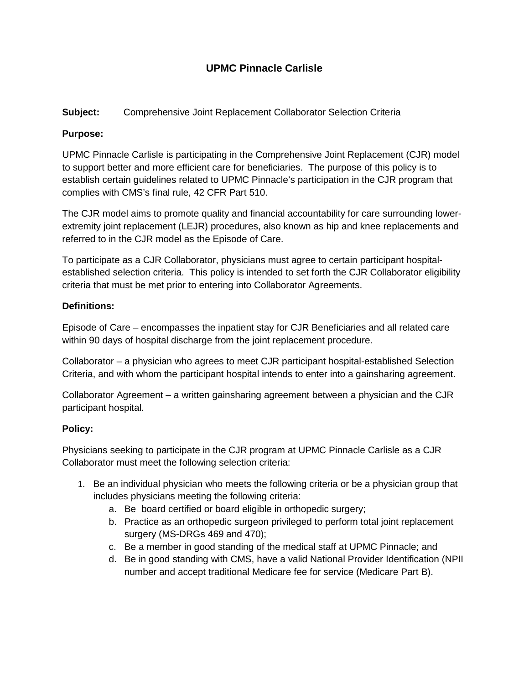# **UPMC Pinnacle Carlisle**

## **Subject:** Comprehensive Joint Replacement Collaborator Selection Criteria

## **Purpose:**

UPMC Pinnacle Carlisle is participating in the Comprehensive Joint Replacement (CJR) model to support better and more efficient care for beneficiaries. The purpose of this policy is to establish certain guidelines related to UPMC Pinnacle's participation in the CJR program that complies with CMS's final rule, 42 CFR Part 510.

The CJR model aims to promote quality and financial accountability for care surrounding lowerextremity joint replacement (LEJR) procedures, also known as hip and knee replacements and referred to in the CJR model as the Episode of Care.

To participate as a CJR Collaborator, physicians must agree to certain participant hospitalestablished selection criteria. This policy is intended to set forth the CJR Collaborator eligibility criteria that must be met prior to entering into Collaborator Agreements.

#### **Definitions:**

Episode of Care – encompasses the inpatient stay for CJR Beneficiaries and all related care within 90 days of hospital discharge from the joint replacement procedure.

Collaborator – a physician who agrees to meet CJR participant hospital-established Selection Criteria, and with whom the participant hospital intends to enter into a gainsharing agreement.

Collaborator Agreement – a written gainsharing agreement between a physician and the CJR participant hospital.

#### **Policy:**

Physicians seeking to participate in the CJR program at UPMC Pinnacle Carlisle as a CJR Collaborator must meet the following selection criteria:

- 1. Be an individual physician who meets the following criteria or be a physician group that includes physicians meeting the following criteria:
	- a. Be board certified or board eligible in orthopedic surgery;
	- b. Practice as an orthopedic surgeon privileged to perform total joint replacement surgery (MS-DRGs 469 and 470);
	- c. Be a member in good standing of the medical staff at UPMC Pinnacle; and
	- d. Be in good standing with CMS, have a valid National Provider Identification (NPII number and accept traditional Medicare fee for service (Medicare Part B).